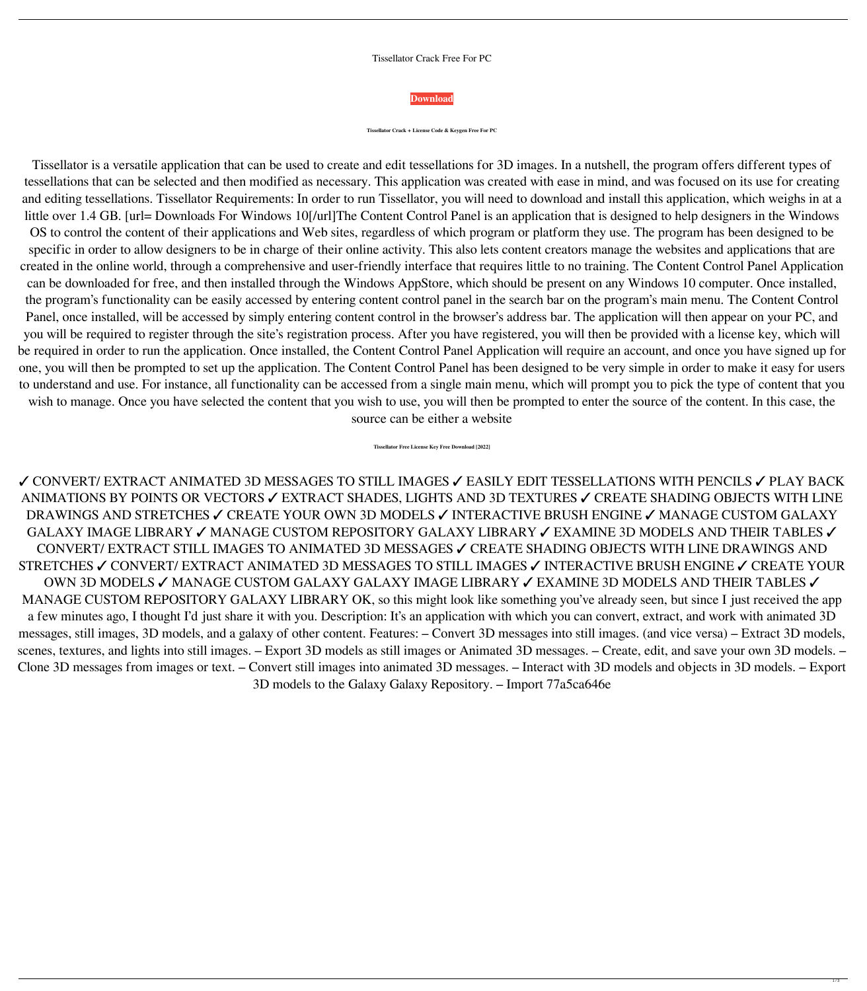## Tissellator Crack Free For PC



## **Tissellator Crack + License Code & Keygen Free For PC**

Tissellator is a versatile application that can be used to create and edit tessellations for 3D images. In a nutshell, the program offers different types of tessellations that can be selected and then modified as necessary. This application was created with ease in mind, and was focused on its use for creating and editing tessellations. Tissellator Requirements: In order to run Tissellator, you will need to download and install this application, which weighs in at a little over 1.4 GB. [url= Downloads For Windows 10[/url]The Content Control Panel is an application that is designed to help designers in the Windows OS to control the content of their applications and Web sites, regardless of which program or platform they use. The program has been designed to be specific in order to allow designers to be in charge of their online activity. This also lets content creators manage the websites and applications that are created in the online world, through a comprehensive and user-friendly interface that requires little to no training. The Content Control Panel Application can be downloaded for free, and then installed through the Windows AppStore, which should be present on any Windows 10 computer. Once installed, the program's functionality can be easily accessed by entering content control panel in the search bar on the program's main menu. The Content Control Panel, once installed, will be accessed by simply entering content control in the browser's address bar. The application will then appear on your PC, and you will be required to register through the site's registration process. After you have registered, you will then be provided with a license key, which will be required in order to run the application. Once installed, the Content Control Panel Application will require an account, and once you have signed up for one, you will then be prompted to set up the application. The Content Control Panel has been designed to be very simple in order to make it easy for users to understand and use. For instance, all functionality can be accessed from a single main menu, which will prompt you to pick the type of content that you wish to manage. Once you have selected the content that you wish to use, you will then be prompted to enter the source of the content. In this case, the source can be either a website

**Tissellator Free License Key Free Download [2022]**

✓ CONVERT/ EXTRACT ANIMATED 3D MESSAGES TO STILL IMAGES ✓ EASILY EDIT TESSELLATIONS WITH PENCILS ✓ PLAY BACK ANIMATIONS BY POINTS OR VECTORS ✓ EXTRACT SHADES, LIGHTS AND 3D TEXTURES ✓ CREATE SHADING OBJECTS WITH LINE DRAWINGS AND STRETCHES ✓ CREATE YOUR OWN 3D MODELS ✓ INTERACTIVE BRUSH ENGINE ✓ MANAGE CUSTOM GALAXY GALAXY IMAGE LIBRARY ✓ MANAGE CUSTOM REPOSITORY GALAXY LIBRARY ✓ EXAMINE 3D MODELS AND THEIR TABLES ✓ CONVERT/ EXTRACT STILL IMAGES TO ANIMATED 3D MESSAGES ✓ CREATE SHADING OBJECTS WITH LINE DRAWINGS AND STRETCHES ✓ CONVERT/ EXTRACT ANIMATED 3D MESSAGES TO STILL IMAGES ✓ INTERACTIVE BRUSH ENGINE ✓ CREATE YOUR OWN 3D MODELS ✓ MANAGE CUSTOM GALAXY GALAXY IMAGE LIBRARY ✓ EXAMINE 3D MODELS AND THEIR TABLES ✓ MANAGE CUSTOM REPOSITORY GALAXY LIBRARY OK, so this might look like something you've already seen, but since I just received the app a few minutes ago, I thought I'd just share it with you. Description: It's an application with which you can convert, extract, and work with animated 3D messages, still images, 3D models, and a galaxy of other content. Features: – Convert 3D messages into still images. (and vice versa) – Extract 3D models, scenes, textures, and lights into still images. – Export 3D models as still images or Animated 3D messages. – Create, edit, and save your own 3D models. – Clone 3D messages from images or text. – Convert still images into animated 3D messages. – Interact with 3D models and objects in 3D models. – Export 3D models to the Galaxy Galaxy Repository. – Import 77a5ca646e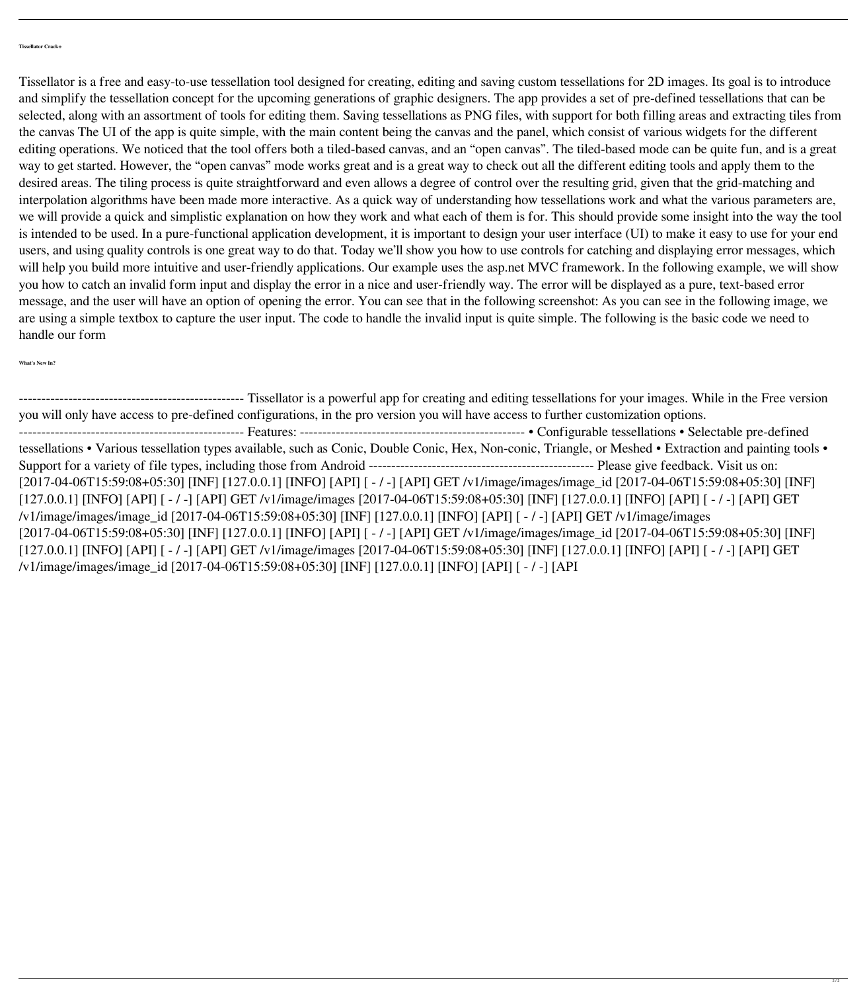**Tissellator Crack+**

Tissellator is a free and easy-to-use tessellation tool designed for creating, editing and saving custom tessellations for 2D images. Its goal is to introduce and simplify the tessellation concept for the upcoming generations of graphic designers. The app provides a set of pre-defined tessellations that can be selected, along with an assortment of tools for editing them. Saving tessellations as PNG files, with support for both filling areas and extracting tiles from the canvas The UI of the app is quite simple, with the main content being the canvas and the panel, which consist of various widgets for the different editing operations. We noticed that the tool offers both a tiled-based canvas, and an "open canvas". The tiled-based mode can be quite fun, and is a great way to get started. However, the "open canvas" mode works great and is a great way to check out all the different editing tools and apply them to the desired areas. The tiling process is quite straightforward and even allows a degree of control over the resulting grid, given that the grid-matching and interpolation algorithms have been made more interactive. As a quick way of understanding how tessellations work and what the various parameters are, we will provide a quick and simplistic explanation on how they work and what each of them is for. This should provide some insight into the way the tool is intended to be used. In a pure-functional application development, it is important to design your user interface (UI) to make it easy to use for your end users, and using quality controls is one great way to do that. Today we'll show you how to use controls for catching and displaying error messages, which will help you build more intuitive and user-friendly applications. Our example uses the asp.net MVC framework. In the following example, we will show you how to catch an invalid form input and display the error in a nice and user-friendly way. The error will be displayed as a pure, text-based error message, and the user will have an option of opening the error. You can see that in the following screenshot: As you can see in the following image, we are using a simple textbox to capture the user input. The code to handle the invalid input is quite simple. The following is the basic code we need to handle our form

**What's New In?**

-------------------------------------------------- Tissellator is a powerful app for creating and editing tessellations for your images. While in the Free version

you will only have access to pre-defined configurations, in the pro version you will have access to further customization options.

-------------------------------------------------- Features: -------------------------------------------------- • Configurable tessellations • Selectable pre-defined tessellations • Various tessellation types available, such as Conic, Double Conic, Hex, Non-conic, Triangle, or Meshed • Extraction and painting tools • Support for a variety of file types, including those from Android -------------------------------------------------- Please give feedback. Visit us on: [2017-04-06T15:59:08+05:30] [INF] [127.0.0.1] [INFO] [API] [ - / -] [API] GET /v1/image/images/image\_id [2017-04-06T15:59:08+05:30] [INF] [127.0.0.1] [INFO] [API] [ - / -] [API] GET /v1/image/images [2017-04-06T15:59:08+05:30] [INF] [127.0.0.1] [INFO] [API] [ - / -] [API] GET /v1/image/images/image\_id [2017-04-06T15:59:08+05:30] [INF] [127.0.0.1] [INFO] [API] [ - / -] [API] GET /v1/image/images [2017-04-06T15:59:08+05:30] [INF] [127.0.0.1] [INFO] [API] [ - / -] [API] GET /v1/image/image\_id [2017-04-06T15:59:08+05:30] [INF] [127.0.0.1] [INFO] [API] [ - / -] [API] GET /v1/image/images [2017-04-06T15:59:08+05:30] [INF] [127.0.0.1] [INFO] [API] [ - / -] [API] GET /v1/image/images/image\_id [2017-04-06T15:59:08+05:30] [INF] [127.0.0.1] [INFO] [API] [ - / -] [API